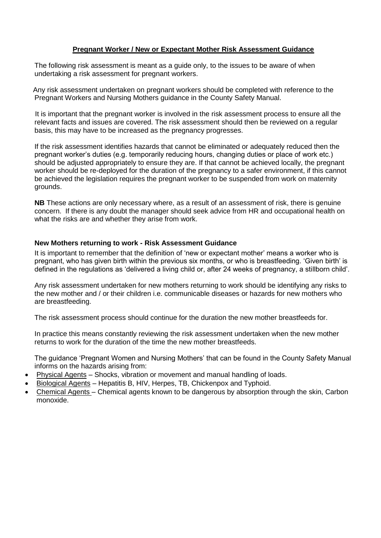## **Pregnant Worker / New or Expectant Mother Risk Assessment Guidance**

The following risk assessment is meant as a guide only, to the issues to be aware of when undertaking a risk assessment for pregnant workers.

 Any risk assessment undertaken on pregnant workers should be completed with reference to the Pregnant Workers and Nursing Mothers guidance in the County Safety Manual.

 It is important that the pregnant worker is involved in the risk assessment process to ensure all the relevant facts and issues are covered. The risk assessment should then be reviewed on a regular basis, this may have to be increased as the pregnancy progresses.

If the risk assessment identifies hazards that cannot be eliminated or adequately reduced then the pregnant worker's duties (e.g. temporarily reducing hours, changing duties or place of work etc.) should be adjusted appropriately to ensure they are. If that cannot be achieved locally, the pregnant worker should be re-deployed for the duration of the pregnancy to a safer environment, if this cannot be achieved the legislation requires the pregnant worker to be suspended from work on maternity grounds.

**NB** These actions are only necessary where, as a result of an assessment of risk, there is genuine concern. If there is any doubt the manager should seek advice from HR and occupational health on what the risks are and whether they arise from work.

## **New Mothers returning to work - Risk Assessment Guidance**

It is important to remember that the definition of 'new or expectant mother' means a worker who is pregnant, who has given birth within the previous six months, or who is breastfeeding. 'Given birth' is defined in the regulations as 'delivered a living child or, after 24 weeks of pregnancy, a stillborn child'.

Any risk assessment undertaken for new mothers returning to work should be identifying any risks to the new mother and / or their children i.e. communicable diseases or hazards for new mothers who are breastfeeding.

The risk assessment process should continue for the duration the new mother breastfeeds for.

In practice this means constantly reviewing the risk assessment undertaken when the new mother returns to work for the duration of the time the new mother breastfeeds.

The guidance 'Pregnant Women and Nursing Mothers' that can be found in the County Safety Manual informs on the hazards arising from:

- Physical Agents Shocks, vibration or movement and manual handling of loads.
- Biological Agents Hepatitis B, HIV, Herpes, TB, Chickenpox and Typhoid.
- Chemical Agents Chemical agents known to be dangerous by absorption through the skin, Carbon monoxide.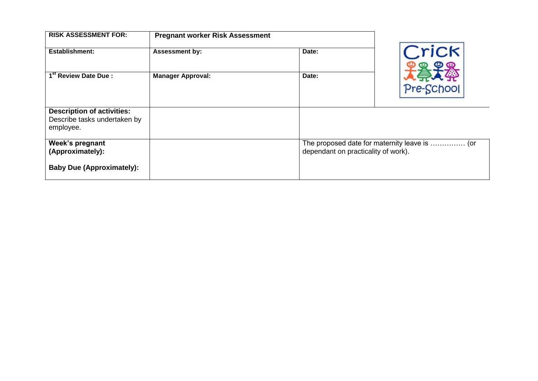| <b>RISK ASSESSMENT FOR:</b>                                                    | <b>Pregnant worker Risk Assessment</b> |       |                                                                                      |  |  |
|--------------------------------------------------------------------------------|----------------------------------------|-------|--------------------------------------------------------------------------------------|--|--|
| <b>Establishment:</b>                                                          | <b>Assessment by:</b>                  | Date: | Crick                                                                                |  |  |
| 1 <sup>st</sup> Review Date Due:                                               | <b>Manager Approval:</b>               | Date: | Pre-School                                                                           |  |  |
| <b>Description of activities:</b><br>Describe tasks undertaken by<br>employee. |                                        |       |                                                                                      |  |  |
| Week's pregnant<br>(Approximately):                                            |                                        |       | The proposed date for maternity leave is  (or<br>dependant on practicality of work). |  |  |
| <b>Baby Due (Approximately):</b>                                               |                                        |       |                                                                                      |  |  |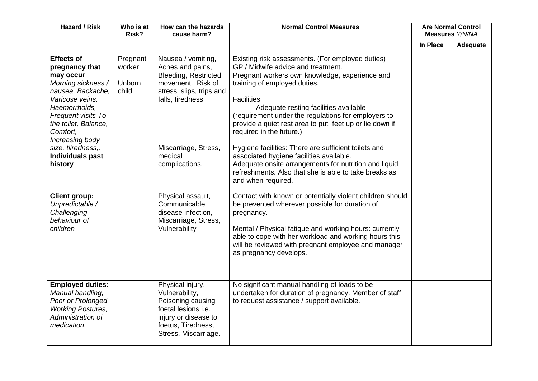| <b>Hazard / Risk</b>                                                                                                                                                                                                               | Who is at<br>Risk?                    | How can the hazards<br>cause harm?                                                                                                                                 | <b>Normal Control Measures</b>                                                                                                                                                                                                                                                                                                                                                                                                                | <b>Are Normal Control</b><br>Measures Y/N/NA |          |
|------------------------------------------------------------------------------------------------------------------------------------------------------------------------------------------------------------------------------------|---------------------------------------|--------------------------------------------------------------------------------------------------------------------------------------------------------------------|-----------------------------------------------------------------------------------------------------------------------------------------------------------------------------------------------------------------------------------------------------------------------------------------------------------------------------------------------------------------------------------------------------------------------------------------------|----------------------------------------------|----------|
|                                                                                                                                                                                                                                    |                                       |                                                                                                                                                                    |                                                                                                                                                                                                                                                                                                                                                                                                                                               | In Place                                     | Adequate |
| <b>Effects of</b><br>pregnancy that<br>may occur<br>Morning sickness /<br>nausea, Backache,<br>Varicose veins,<br>Haemorrhoids,<br>Frequent visits To<br>the toilet, Balance,<br>Comfort,<br>Increasing body<br>size, tiiredness,. | Pregnant<br>worker<br>Unborn<br>child | Nausea / vomiting,<br>Aches and pains,<br><b>Bleeding, Restricted</b><br>movement. Risk of<br>stress, slips, trips and<br>falls, tiredness<br>Miscarriage, Stress, | Existing risk assessments. (For employed duties)<br>GP / Midwife advice and treatment.<br>Pregnant workers own knowledge, experience and<br>training of employed duties.<br><b>Facilities:</b><br>Adequate resting facilities available<br>(requirement under the regulations for employers to<br>provide a quiet rest area to put feet up or lie down if<br>required in the future.)<br>Hygiene facilities: There are sufficient toilets and |                                              |          |
| Individuals past<br>history                                                                                                                                                                                                        |                                       | medical<br>complications.                                                                                                                                          | associated hygiene facilities available.<br>Adequate onsite arrangements for nutrition and liquid<br>refreshments. Also that she is able to take breaks as<br>and when required.                                                                                                                                                                                                                                                              |                                              |          |
| <b>Client group:</b><br>Unpredictable /<br>Challenging<br>behaviour of<br>children                                                                                                                                                 |                                       | Physical assault,<br>Communicable<br>disease infection,<br>Miscarriage, Stress,<br>Vulnerability                                                                   | Contact with known or potentially violent children should<br>be prevented wherever possible for duration of<br>pregnancy.<br>Mental / Physical fatigue and working hours: currently<br>able to cope with her workload and working hours this<br>will be reviewed with pregnant employee and manager<br>as pregnancy develops.                                                                                                                 |                                              |          |
| <b>Employed duties:</b><br>Manual handling,<br>Poor or Prolonged<br><b>Working Postures,</b><br>Administration of<br>medication.                                                                                                   |                                       | Physical injury,<br>Vulnerability,<br>Poisoning causing<br>foetal lesions i.e.<br>injury or disease to<br>foetus, Tiredness,<br>Stress, Miscarriage.               | No significant manual handling of loads to be<br>undertaken for duration of pregnancy. Member of staff<br>to request assistance / support available.                                                                                                                                                                                                                                                                                          |                                              |          |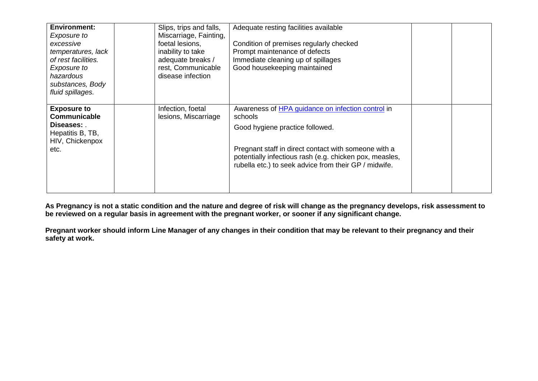| <b>Environment:</b><br>Exposure to<br>excessive<br>temperatures, lack<br>of rest facilities.<br>Exposure to<br>hazardous<br>substances, Body<br>fluid spillages. | Slips, trips and falls,<br>Miscarriage, Fainting,<br>foetal lesions,<br>inability to take<br>adequate breaks /<br>rest, Communicable<br>disease infection | Adequate resting facilities available<br>Condition of premises regularly checked<br>Prompt maintenance of defects<br>Immediate cleaning up of spillages<br>Good housekeeping maintained                                                                                     |  |
|------------------------------------------------------------------------------------------------------------------------------------------------------------------|-----------------------------------------------------------------------------------------------------------------------------------------------------------|-----------------------------------------------------------------------------------------------------------------------------------------------------------------------------------------------------------------------------------------------------------------------------|--|
| <b>Exposure to</b><br><b>Communicable</b><br>Diseases: .<br>Hepatitis B, TB,<br>HIV, Chickenpox<br>etc.                                                          | Infection, foetal<br>lesions, Miscarriage                                                                                                                 | Awareness of HPA guidance on infection control in<br>schools<br>Good hygiene practice followed.<br>Pregnant staff in direct contact with someone with a<br>potentially infectious rash (e.g. chicken pox, measles,<br>rubella etc.) to seek advice from their GP / midwife. |  |

**As Pregnancy is not a static condition and the nature and degree of risk will change as the pregnancy develops, risk assessment to be reviewed on a regular basis in agreement with the pregnant worker, or sooner if any significant change.**

**Pregnant worker should inform Line Manager of any changes in their condition that may be relevant to their pregnancy and their safety at work.**